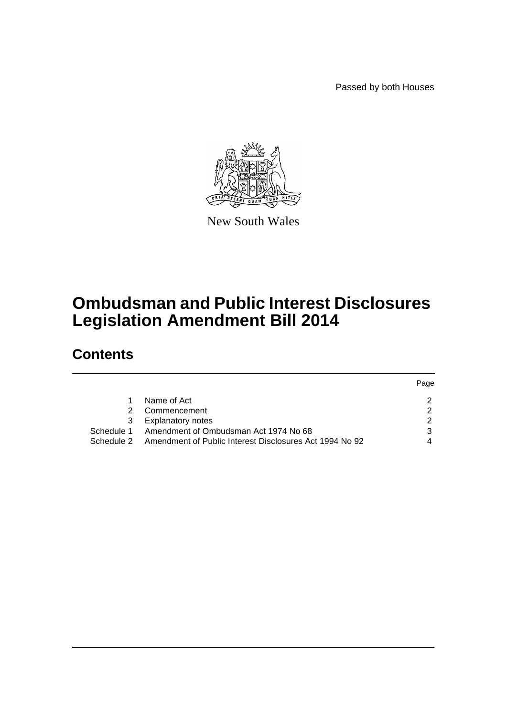Passed by both Houses



New South Wales

# **Ombudsman and Public Interest Disclosures Legislation Amendment Bill 2014**

# **Contents**

|            |                                                         | Page |
|------------|---------------------------------------------------------|------|
|            | Name of Act                                             |      |
| 2.         | Commencement                                            | ◠    |
| 3          | <b>Explanatory notes</b>                                |      |
| Schedule 1 | Amendment of Ombudsman Act 1974 No 68                   |      |
| Schedule 2 | Amendment of Public Interest Disclosures Act 1994 No 92 |      |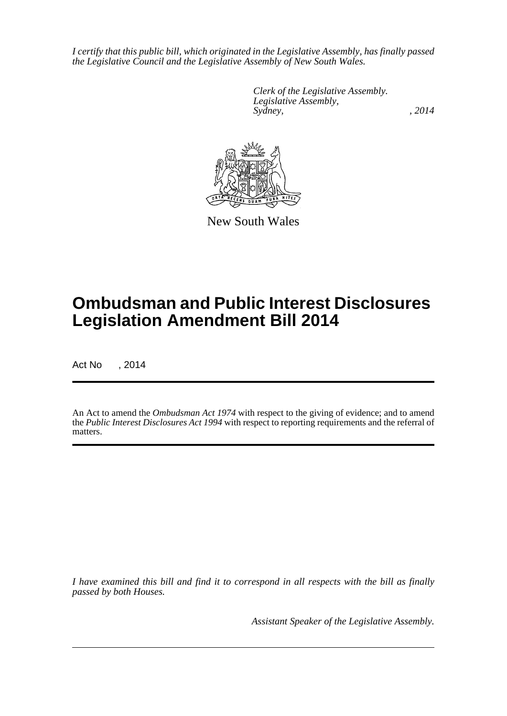*I certify that this public bill, which originated in the Legislative Assembly, has finally passed the Legislative Council and the Legislative Assembly of New South Wales.*

> *Clerk of the Legislative Assembly. Legislative Assembly, Sydney,* , 2014



New South Wales

# **Ombudsman and Public Interest Disclosures Legislation Amendment Bill 2014**

Act No , 2014

An Act to amend the *Ombudsman Act 1974* with respect to the giving of evidence; and to amend the *Public Interest Disclosures Act 1994* with respect to reporting requirements and the referral of matters.

*I have examined this bill and find it to correspond in all respects with the bill as finally passed by both Houses.*

*Assistant Speaker of the Legislative Assembly.*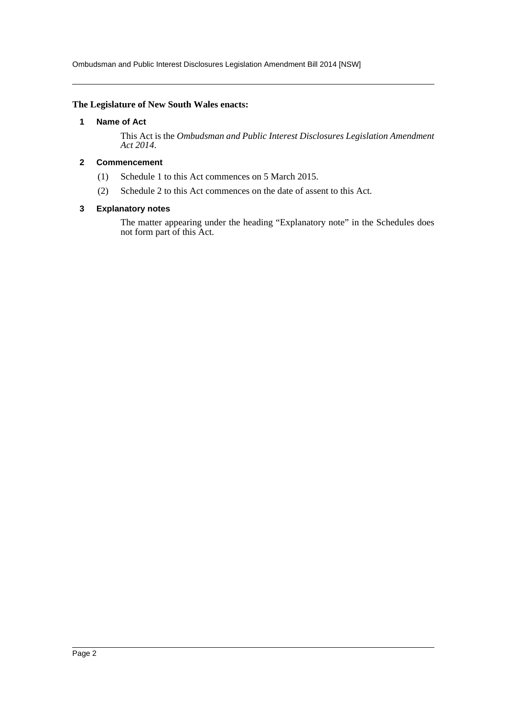Ombudsman and Public Interest Disclosures Legislation Amendment Bill 2014 [NSW]

#### <span id="page-2-0"></span>**The Legislature of New South Wales enacts:**

### **1 Name of Act**

This Act is the *Ombudsman and Public Interest Disclosures Legislation Amendment Act 2014*.

## <span id="page-2-1"></span>**2 Commencement**

- (1) Schedule 1 to this Act commences on 5 March 2015.
- (2) Schedule 2 to this Act commences on the date of assent to this Act.

#### <span id="page-2-2"></span>**3 Explanatory notes**

The matter appearing under the heading "Explanatory note" in the Schedules does not form part of this Act.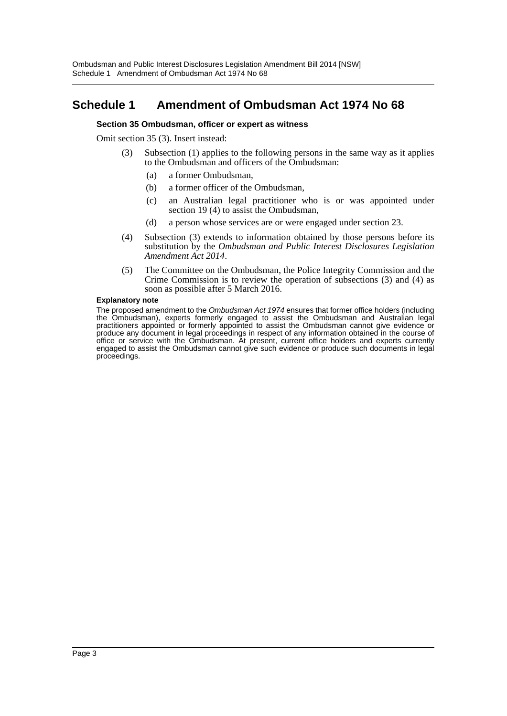# <span id="page-3-0"></span>**Schedule 1 Amendment of Ombudsman Act 1974 No 68**

#### **Section 35 Ombudsman, officer or expert as witness**

Omit section 35 (3). Insert instead:

- (3) Subsection (1) applies to the following persons in the same way as it applies to the Ombudsman and officers of the Ombudsman:
	- (a) a former Ombudsman,
	- (b) a former officer of the Ombudsman,
	- (c) an Australian legal practitioner who is or was appointed under section 19 (4) to assist the Ombudsman,
	- (d) a person whose services are or were engaged under section 23.
- (4) Subsection (3) extends to information obtained by those persons before its substitution by the *Ombudsman and Public Interest Disclosures Legislation Amendment Act 2014*.
- (5) The Committee on the Ombudsman, the Police Integrity Commission and the Crime Commission is to review the operation of subsections (3) and (4) as soon as possible after 5 March 2016.

#### **Explanatory note**

The proposed amendment to the *Ombudsman Act 1974* ensures that former office holders (including the Ombudsman), experts formerly engaged to assist the Ombudsman and Australian legal practitioners appointed or formerly appointed to assist the Ombudsman cannot give evidence or produce any document in legal proceedings in respect of any information obtained in the course of office or service with the Ombudsman. At present, current office holders and experts currently engaged to assist the Ombudsman cannot give such evidence or produce such documents in legal proceedings.